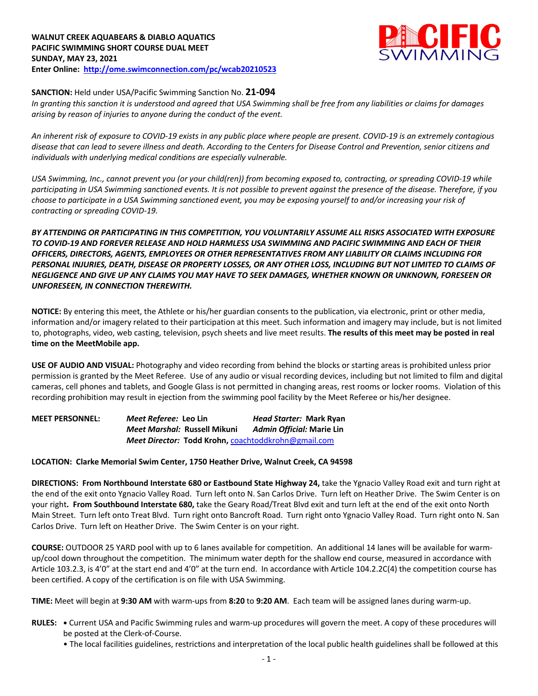# **WALNUT CREEK AQUABEARS & DIABLO AQUATICS PACIFIC SWIMMING SHORT COURSE DUAL MEET SUNDAY, MAY 23, 2021 Enter Online: http://ome.swimconnection.com/pc/wcab20210523**



**SANCTION:** Held under USA/Pacific Swimming Sanction No. **21-094**

*In granting this sanction it is understood and agreed that USA Swimming shall be free from any liabilities or claims for damages arising by reason of injuries to anyone during the conduct of the event.* 

*An inherent risk of exposure to COVID-19 exists in any public place where people are present. COVID-19 is an extremely contagious disease that can lead to severe illness and death. According to the Centers for Disease Control and Prevention, senior citizens and individuals with underlying medical conditions are especially vulnerable.*

*USA Swimming, Inc., cannot prevent you (or your child(ren)) from becoming exposed to, contracting, or spreading COVID-19 while participating in USA Swimming sanctioned events. It is not possible to prevent against the presence of the disease. Therefore, if you choose to participate in a USA Swimming sanctioned event, you may be exposing yourself to and/or increasing your risk of contracting or spreading COVID-19.*

*BY ATTENDING OR PARTICIPATING IN THIS COMPETITION, YOU VOLUNTARILY ASSUME ALL RISKS ASSOCIATED WITH EXPOSURE TO COVID-19 AND FOREVER RELEASE AND HOLD HARMLESS USA SWIMMING AND PACIFIC SWIMMING AND EACH OF THEIR OFFICERS, DIRECTORS, AGENTS, EMPLOYEES OR OTHER REPRESENTATIVES FROM ANY LIABILITY OR CLAIMS INCLUDING FOR PERSONAL INJURIES, DEATH, DISEASE OR PROPERTY LOSSES, OR ANY OTHER LOSS, INCLUDING BUT NOT LIMITED TO CLAIMS OF NEGLIGENCE AND GIVE UP ANY CLAIMS YOU MAY HAVE TO SEEK DAMAGES, WHETHER KNOWN OR UNKNOWN, FORESEEN OR UNFORESEEN, IN CONNECTION THEREWITH.*

**NOTICE:** By entering this meet, the Athlete or his/her guardian consents to the publication, via electronic, print or other media, information and/or imagery related to their participation at this meet. Such information and imagery may include, but is not limited to, photographs, video, web casting, television, psych sheets and live meet results. **The results of this meet may be posted in real time on the MeetMobile app.**

**USE OF AUDIO AND VISUAL:** Photography and video recording from behind the blocks or starting areas is prohibited unless prior permission is granted by the Meet Referee. Use of any audio or visual recording devices, including but not limited to film and digital cameras, cell phones and tablets, and Google Glass is not permitted in changing areas, rest rooms or locker rooms. Violation of this recording prohibition may result in ejection from the swimming pool facility by the Meet Referee or his/her designee.

**MEET PERSONNEL:** *Meet Referee:* **Leo Lin** *Head Starter:* **Mark Ryan** *Meet Marshal:* **Russell Mikuni** *Admin Official:* **Marie Lin** *Meet Director:* **Todd Krohn,** coachtoddkrohn@gmail.com

# **LOCATION: Clarke Memorial Swim Center, 1750 Heather Drive, Walnut Creek, CA 94598**

**DIRECTIONS: From Northbound Interstate 680 or Eastbound State Highway 24,** take the Ygnacio Valley Road exit and turn right at the end of the exit onto Ygnacio Valley Road. Turn left onto N. San Carlos Drive. Turn left on Heather Drive. The Swim Center is on your right**. From Southbound Interstate 680,** take the Geary Road/Treat Blvd exit and turn left at the end of the exit onto North Main Street. Turn left onto Treat Blvd. Turn right onto Bancroft Road. Turn right onto Ygnacio Valley Road. Turn right onto N. San Carlos Drive. Turn left on Heather Drive. The Swim Center is on your right.

**COURSE:** OUTDOOR 25 YARD pool with up to 6 lanes available for competition. An additional 14 lanes will be available for warmup/cool down throughout the competition. The minimum water depth for the shallow end course, measured in accordance with Article 103.2.3, is 4'0" at the start end and 4'0" at the turn end. In accordance with Article 104.2.2C(4) the competition course has been certified. A copy of the certification is on file with USA Swimming.

**TIME:** Meet will begin at **9:30 AM** with warm-ups from **8:20** to **9:20 AM**. Each team will be assigned lanes during warm-up.

- **RULES: •** Current USA and Pacific Swimming rules and warm-up procedures will govern the meet. A copy of these procedures will be posted at the Clerk-of-Course.
	- The local facilities guidelines, restrictions and interpretation of the local public health guidelines shall be followed at this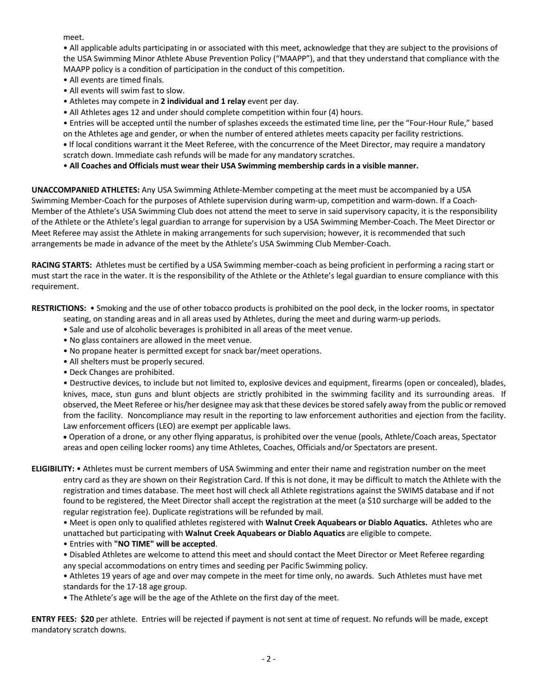meet.

• All applicable adults participating in or associated with this meet, acknowledge that they are subject to the provisions of the USA Swimming Minor Athlete Abuse Prevention Policy ("MAAPP"), and that they understand that compliance with the MAAPP policy is a condition of participation in the conduct of this competition.

- All events are timed finals.
- All events will swim fast to slow.
- Athletes may compete in **2 individual and 1 relay** event per day.
- All Athletes ages 12 and under should complete competition within four (4) hours.

• Entries will be accepted until the number of splashes exceeds the estimated time line, per the "Four-Hour Rule," based on the Athletes age and gender, or when the number of entered athletes meets capacity per facility restrictions. **•** If local conditions warrant it the Meet Referee, with the concurrence of the Meet Director, may require a mandatory scratch down. Immediate cash refunds will be made for any mandatory scratches.

• **All Coaches and Officials must wear their USA Swimming membership cards in a visible manner.** 

**UNACCOMPANIED ATHLETES:** Any USA Swimming Athlete-Member competing at the meet must be accompanied by a USA Swimming Member-Coach for the purposes of Athlete supervision during warm-up, competition and warm-down. If a Coach-Member of the Athlete's USA Swimming Club does not attend the meet to serve in said supervisory capacity, it is the responsibility of the Athlete or the Athlete's legal guardian to arrange for supervision by a USA Swimming Member-Coach. The Meet Director or Meet Referee may assist the Athlete in making arrangements for such supervision; however, it is recommended that such arrangements be made in advance of the meet by the Athlete's USA Swimming Club Member-Coach.

**RACING STARTS:** Athletes must be certified by a USA Swimming member-coach as being proficient in performing a racing start or must start the race in the water. It is the responsibility of the Athlete or the Athlete's legal guardian to ensure compliance with this requirement.

**RESTRICTIONS:** • Smoking and the use of other tobacco products is prohibited on the pool deck, in the locker rooms, in spectator

- seating, on standing areas and in all areas used by Athletes, during the meet and during warm-up periods.
- Sale and use of alcoholic beverages is prohibited in all areas of the meet venue.
- No glass containers are allowed in the meet venue.
- No propane heater is permitted except for snack bar/meet operations.
- All shelters must be properly secured.
- Deck Changes are prohibited.

• Destructive devices, to include but not limited to, explosive devices and equipment, firearms (open or concealed), blades, knives, mace, stun guns and blunt objects are strictly prohibited in the swimming facility and its surrounding areas. If observed, the Meet Referee or his/her designee may ask that these devices be stored safely away from the public or removed from the facility. Noncompliance may result in the reporting to law enforcement authorities and ejection from the facility. Law enforcement officers (LEO) are exempt per applicable laws.

• Operation of a drone, or any other flying apparatus, is prohibited over the venue (pools, Athlete/Coach areas, Spectator areas and open ceiling locker rooms) any time Athletes, Coaches, Officials and/or Spectators are present.

**ELIGIBILITY:** • Athletes must be current members of USA Swimming and enter their name and registration number on the meet entry card as they are shown on their Registration Card. If this is not done, it may be difficult to match the Athlete with the registration and times database. The meet host will check all Athlete registrations against the SWIMS database and if not found to be registered, the Meet Director shall accept the registration at the meet (a \$10 surcharge will be added to the regular registration fee). Duplicate registrations will be refunded by mail.

• Meet is open only to qualified athletes registered with **Walnut Creek Aquabears or Diablo Aquatics.** Athletes who are unattached but participating with **Walnut Creek Aquabears or Diablo Aquatics** are eligible to compete.

- Entries with **"NO TIME" will be accepted**.
- Disabled Athletes are welcome to attend this meet and should contact the Meet Director or Meet Referee regarding any special accommodations on entry times and seeding per Pacific Swimming policy.

• Athletes 19 years of age and over may compete in the meet for time only, no awards. Such Athletes must have met standards for the 17-18 age group.

• The Athlete's age will be the age of the Athlete on the first day of the meet.

**ENTRY FEES: \$20** per athlete. Entries will be rejected if payment is not sent at time of request. No refunds will be made, except mandatory scratch downs.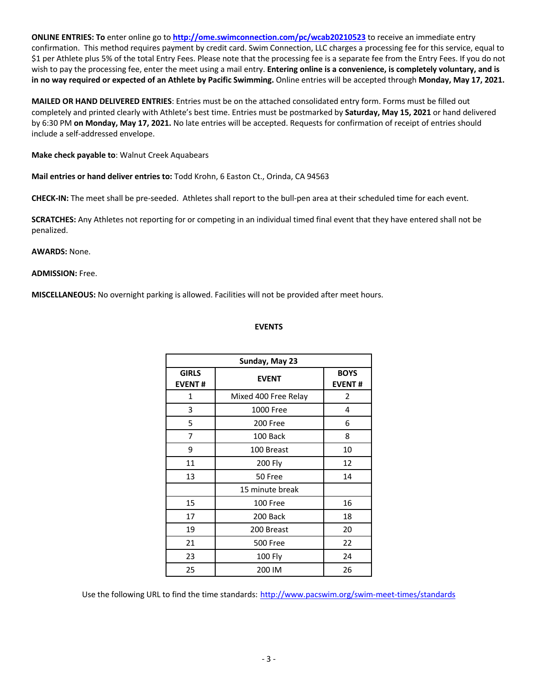**ONLINE ENTRIES: To** enter online go to **http://ome.swimconnection.com/pc/wcab20210523** to receive an immediate entry confirmation. This method requires payment by credit card. Swim Connection, LLC charges a processing fee for this service, equal to \$1 per Athlete plus 5% of the total Entry Fees. Please note that the processing fee is a separate fee from the Entry Fees. If you do not wish to pay the processing fee, enter the meet using a mail entry. **Entering online is a convenience, is completely voluntary, and is in no way required or expected of an Athlete by Pacific Swimming.** Online entries will be accepted through **Monday, May 17, 2021.**

**MAILED OR HAND DELIVERED ENTRIES**: Entries must be on the attached consolidated entry form. Forms must be filled out completely and printed clearly with Athlete's best time. Entries must be postmarked by **Saturday, May 15, 2021** or hand delivered by 6:30 PM **on Monday, May 17, 2021.** No late entries will be accepted. Requests for confirmation of receipt of entries should include a self-addressed envelope.

**Make check payable to**: Walnut Creek Aquabears

**Mail entries or hand deliver entries to:** Todd Krohn, 6 Easton Ct., Orinda, CA 94563

**CHECK-IN:** The meet shall be pre-seeded. Athletes shall report to the bull-pen area at their scheduled time for each event.

**SCRATCHES:** Any Athletes not reporting for or competing in an individual timed final event that they have entered shall not be penalized.

# **AWARDS:** None.

#### **ADMISSION:** Free.

**MISCELLANEOUS:** No overnight parking is allowed. Facilities will not be provided after meet hours.

#### **EVENTS**

| Sunday, May 23                |                      |                              |  |  |  |  |  |  |  |
|-------------------------------|----------------------|------------------------------|--|--|--|--|--|--|--|
| <b>GIRLS</b><br><b>EVENT#</b> | <b>EVENT</b>         | <b>BOYS</b><br><b>EVENT#</b> |  |  |  |  |  |  |  |
| 1                             | Mixed 400 Free Relay | 2                            |  |  |  |  |  |  |  |
| 3                             | 1000 Free            | 4                            |  |  |  |  |  |  |  |
| 5                             | 200 Free             | 6                            |  |  |  |  |  |  |  |
| 7                             | 100 Back             | 8                            |  |  |  |  |  |  |  |
| 9                             | 100 Breast           | 10                           |  |  |  |  |  |  |  |
| 11                            | 200 Fly              | 12                           |  |  |  |  |  |  |  |
| 13                            | 50 Free              | 14                           |  |  |  |  |  |  |  |
|                               | 15 minute break      |                              |  |  |  |  |  |  |  |
| 15                            | 100 Free             | 16                           |  |  |  |  |  |  |  |
| 17                            | 200 Back             | 18                           |  |  |  |  |  |  |  |
| 19                            | 200 Breast           | 20                           |  |  |  |  |  |  |  |
| 21                            | 500 Free             | 22                           |  |  |  |  |  |  |  |
| 23                            | 100 Fly              | 24                           |  |  |  |  |  |  |  |
| 25                            | 200 IM               | 26                           |  |  |  |  |  |  |  |

Use the following URL to find the time standards: http://www.pacswim.org/swim-meet-times/standards